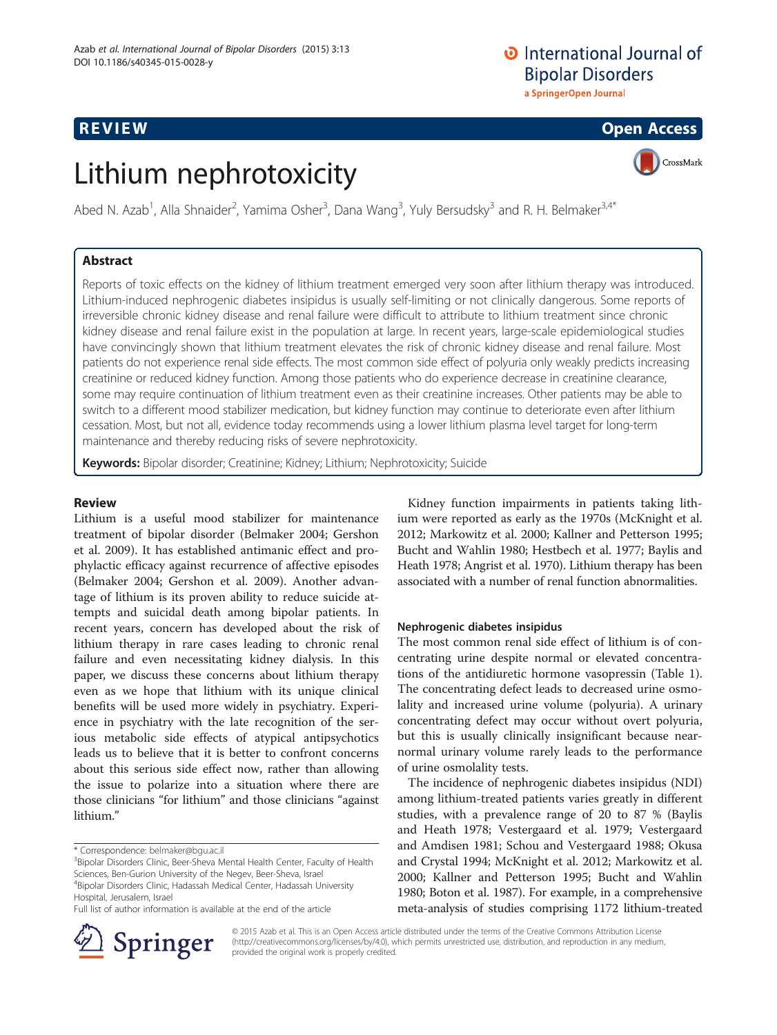## **O** International Journal of **Bipolar Disorders**

a SpringerOpen Journal

### **REVIEW CONSTRUCTION CONSTRUCTION CONSTRUCTS**

# CrossMark

# Lithium nephrotoxicity

Abed N. Azab<sup>1</sup>, Alla Shnaider<sup>2</sup>, Yamima Osher<sup>3</sup>, Dana Wang<sup>3</sup>, Yuly Bersudsky<sup>3</sup> and R. H. Belmaker<sup>3,4\*</sup>

### Abstract

Reports of toxic effects on the kidney of lithium treatment emerged very soon after lithium therapy was introduced. Lithium-induced nephrogenic diabetes insipidus is usually self-limiting or not clinically dangerous. Some reports of irreversible chronic kidney disease and renal failure were difficult to attribute to lithium treatment since chronic kidney disease and renal failure exist in the population at large. In recent years, large-scale epidemiological studies have convincingly shown that lithium treatment elevates the risk of chronic kidney disease and renal failure. Most patients do not experience renal side effects. The most common side effect of polyuria only weakly predicts increasing creatinine or reduced kidney function. Among those patients who do experience decrease in creatinine clearance, some may require continuation of lithium treatment even as their creatinine increases. Other patients may be able to switch to a different mood stabilizer medication, but kidney function may continue to deteriorate even after lithium cessation. Most, but not all, evidence today recommends using a lower lithium plasma level target for long-term maintenance and thereby reducing risks of severe nephrotoxicity.

Keywords: Bipolar disorder; Creatinine; Kidney; Lithium; Nephrotoxicity; Suicide

#### Review

Lithium is a useful mood stabilizer for maintenance treatment of bipolar disorder (Belmaker [2004](#page-8-0); Gershon et al. [2009](#page-8-0)). It has established antimanic effect and prophylactic efficacy against recurrence of affective episodes (Belmaker [2004](#page-8-0); Gershon et al. [2009](#page-8-0)). Another advantage of lithium is its proven ability to reduce suicide attempts and suicidal death among bipolar patients. In recent years, concern has developed about the risk of lithium therapy in rare cases leading to chronic renal failure and even necessitating kidney dialysis. In this paper, we discuss these concerns about lithium therapy even as we hope that lithium with its unique clinical benefits will be used more widely in psychiatry. Experience in psychiatry with the late recognition of the serious metabolic side effects of atypical antipsychotics leads us to believe that it is better to confront concerns about this serious side effect now, rather than allowing the issue to polarize into a situation where there are those clinicians "for lithium" and those clinicians "against lithium."

\* Correspondence: [belmaker@bgu.ac.il](mailto:belmaker@bgu.ac.il) <sup>3</sup>

<sup>3</sup>Bipolar Disorders Clinic, Beer-Sheva Mental Health Center, Faculty of Health Sciences, Ben-Gurion University of the Negev, Beer-Sheva, Israel

4 Bipolar Disorders Clinic, Hadassah Medical Center, Hadassah University Hospital, Jerusalem, Israel Full list of author information is available at the end of the article

Kidney function impairments in patients taking lithium were reported as early as the 1970s (McKnight et al. [2012](#page-8-0); Markowitz et al. [2000](#page-8-0); Kallner and Petterson [1995](#page-8-0); Bucht and Wahlin [1980;](#page-8-0) Hestbech et al. [1977;](#page-8-0) Baylis and Heath [1978](#page-8-0); Angrist et al. [1970\)](#page-7-0). Lithium therapy has been associated with a number of renal function abnormalities.

#### Nephrogenic diabetes insipidus

The most common renal side effect of lithium is of concentrating urine despite normal or elevated concentrations of the antidiuretic hormone vasopressin (Table [1](#page-1-0)). The concentrating defect leads to decreased urine osmolality and increased urine volume (polyuria). A urinary concentrating defect may occur without overt polyuria, but this is usually clinically insignificant because nearnormal urinary volume rarely leads to the performance of urine osmolality tests.

The incidence of nephrogenic diabetes insipidus (NDI) among lithium-treated patients varies greatly in different studies, with a prevalence range of 20 to 87 % (Baylis and Heath [1978;](#page-8-0) Vestergaard et al. [1979;](#page-8-0) Vestergaard and Amdisen [1981;](#page-8-0) Schou and Vestergaard [1988;](#page-8-0) Okusa and Crystal [1994](#page-8-0); McKnight et al. [2012](#page-8-0); Markowitz et al. [2000](#page-8-0); Kallner and Petterson [1995;](#page-8-0) Bucht and Wahlin [1980](#page-8-0); Boton et al. [1987](#page-8-0)). For example, in a comprehensive meta-analysis of studies comprising 1172 lithium-treated



© 2015 Azab et al. This is an Open Access article distributed under the terms of the Creative Commons Attribution License (<http://creativecommons.org/licenses/by/4.0>), which permits unrestricted use, distribution, and reproduction in any medium, provided the original work is properly credited.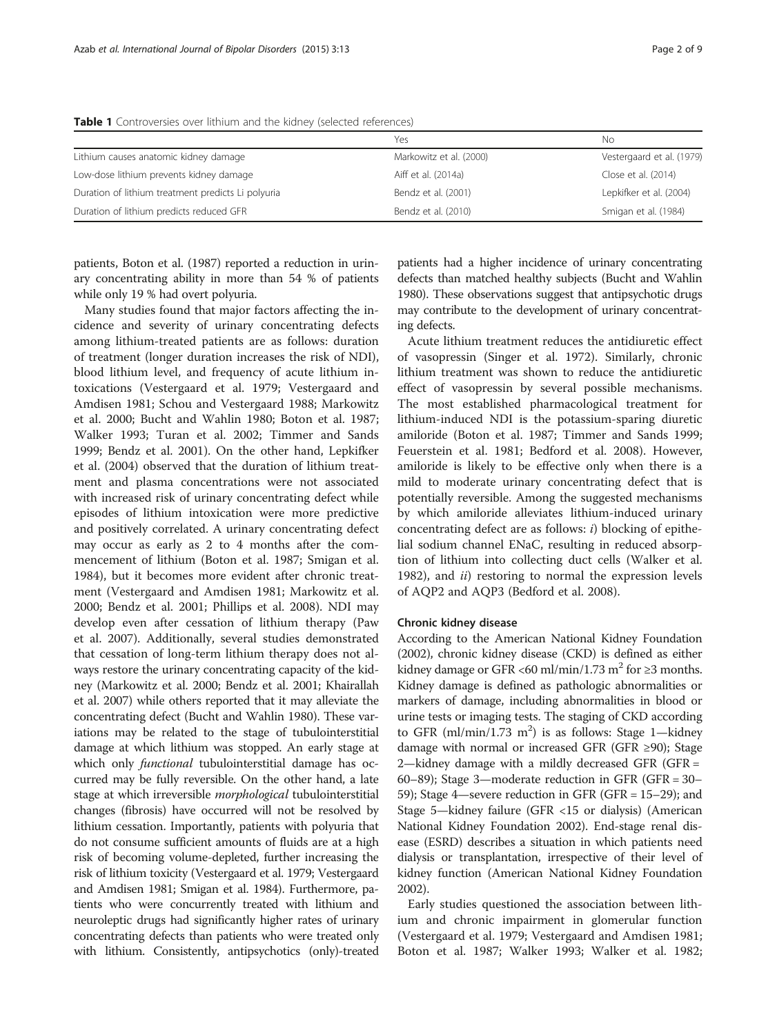|                                                    | Yes                     | Nο                        |
|----------------------------------------------------|-------------------------|---------------------------|
| Lithium causes anatomic kidney damage              | Markowitz et al. (2000) | Vestergaard et al. (1979) |
| Low-dose lithium prevents kidney damage            | Aiff et al. (2014a)     | Close et al. (2014)       |
| Duration of lithium treatment predicts Li polyuria | Bendz et al. (2001)     | Lepkifker et al. (2004)   |
| Duration of lithium predicts reduced GFR           | Bendz et al. (2010)     | Smigan et al. (1984)      |

<span id="page-1-0"></span>Table 1 Controversies over lithium and the kidney (selected references)

patients, Boton et al. [\(1987](#page-8-0)) reported a reduction in urinary concentrating ability in more than 54 % of patients while only 19 % had overt polyuria.

Many studies found that major factors affecting the incidence and severity of urinary concentrating defects among lithium-treated patients are as follows: duration of treatment (longer duration increases the risk of NDI), blood lithium level, and frequency of acute lithium intoxications (Vestergaard et al. [1979;](#page-8-0) Vestergaard and Amdisen [1981](#page-8-0); Schou and Vestergaard [1988;](#page-8-0) Markowitz et al. [2000](#page-8-0); Bucht and Wahlin [1980;](#page-8-0) Boton et al. [1987](#page-8-0); Walker [1993;](#page-8-0) Turan et al. [2002;](#page-8-0) Timmer and Sands [1999](#page-8-0); Bendz et al. [2001](#page-8-0)). On the other hand, Lepkifker et al. [\(2004](#page-8-0)) observed that the duration of lithium treatment and plasma concentrations were not associated with increased risk of urinary concentrating defect while episodes of lithium intoxication were more predictive and positively correlated. A urinary concentrating defect may occur as early as 2 to 4 months after the commencement of lithium (Boton et al. [1987;](#page-8-0) Smigan et al. [1984](#page-8-0)), but it becomes more evident after chronic treatment (Vestergaard and Amdisen [1981](#page-8-0); Markowitz et al. [2000](#page-8-0); Bendz et al. [2001;](#page-8-0) Phillips et al. [2008\)](#page-8-0). NDI may develop even after cessation of lithium therapy (Paw et al. [2007](#page-8-0)). Additionally, several studies demonstrated that cessation of long-term lithium therapy does not always restore the urinary concentrating capacity of the kidney (Markowitz et al. [2000](#page-8-0); Bendz et al. [2001;](#page-8-0) Khairallah et al. [2007\)](#page-8-0) while others reported that it may alleviate the concentrating defect (Bucht and Wahlin [1980](#page-8-0)). These variations may be related to the stage of tubulointerstitial damage at which lithium was stopped. An early stage at which only *functional* tubulointerstitial damage has occurred may be fully reversible. On the other hand, a late stage at which irreversible *morphological* tubulointerstitial changes (fibrosis) have occurred will not be resolved by lithium cessation. Importantly, patients with polyuria that do not consume sufficient amounts of fluids are at a high risk of becoming volume-depleted, further increasing the risk of lithium toxicity (Vestergaard et al. [1979](#page-8-0); Vestergaard and Amdisen [1981;](#page-8-0) Smigan et al. [1984](#page-8-0)). Furthermore, patients who were concurrently treated with lithium and neuroleptic drugs had significantly higher rates of urinary concentrating defects than patients who were treated only with lithium. Consistently, antipsychotics (only)-treated patients had a higher incidence of urinary concentrating defects than matched healthy subjects (Bucht and Wahlin [1980\)](#page-8-0). These observations suggest that antipsychotic drugs may contribute to the development of urinary concentrating defects.

Acute lithium treatment reduces the antidiuretic effect of vasopressin (Singer et al. [1972](#page-8-0)). Similarly, chronic lithium treatment was shown to reduce the antidiuretic effect of vasopressin by several possible mechanisms. The most established pharmacological treatment for lithium-induced NDI is the potassium-sparing diuretic amiloride (Boton et al. [1987;](#page-8-0) Timmer and Sands [1999](#page-8-0); Feuerstein et al. [1981;](#page-8-0) Bedford et al. [2008](#page-8-0)). However, amiloride is likely to be effective only when there is a mild to moderate urinary concentrating defect that is potentially reversible. Among the suggested mechanisms by which amiloride alleviates lithium-induced urinary concentrating defect are as follows: i) blocking of epithelial sodium channel ENaC, resulting in reduced absorption of lithium into collecting duct cells (Walker et al. [1982](#page-8-0)), and *ii*) restoring to normal the expression levels of AQP2 and AQP3 (Bedford et al. [2008](#page-8-0)).

#### Chronic kidney disease

According to the American National Kidney Foundation ([2002](#page-7-0)), chronic kidney disease (CKD) is defined as either kidney damage or GFR <60 ml/min/1.73 m<sup>2</sup> for  $\geq$ 3 months. Kidney damage is defined as pathologic abnormalities or markers of damage, including abnormalities in blood or urine tests or imaging tests. The staging of CKD according to GFR (ml/min/1.73  $m^2$ ) is as follows: Stage 1-kidney damage with normal or increased GFR (GFR  $\geq$ 90); Stage 2—kidney damage with a mildly decreased GFR (GFR = 60–89); Stage 3—moderate reduction in GFR (GFR = 30– 59); Stage 4—severe reduction in GFR (GFR = 15–29); and Stage 5—kidney failure (GFR <15 or dialysis) (American National Kidney Foundation [2002\)](#page-7-0). End-stage renal disease (ESRD) describes a situation in which patients need dialysis or transplantation, irrespective of their level of kidney function (American National Kidney Foundation [2002](#page-7-0)).

Early studies questioned the association between lithium and chronic impairment in glomerular function (Vestergaard et al. [1979](#page-8-0); Vestergaard and Amdisen [1981](#page-8-0); Boton et al. [1987;](#page-8-0) Walker [1993;](#page-8-0) Walker et al. [1982](#page-8-0);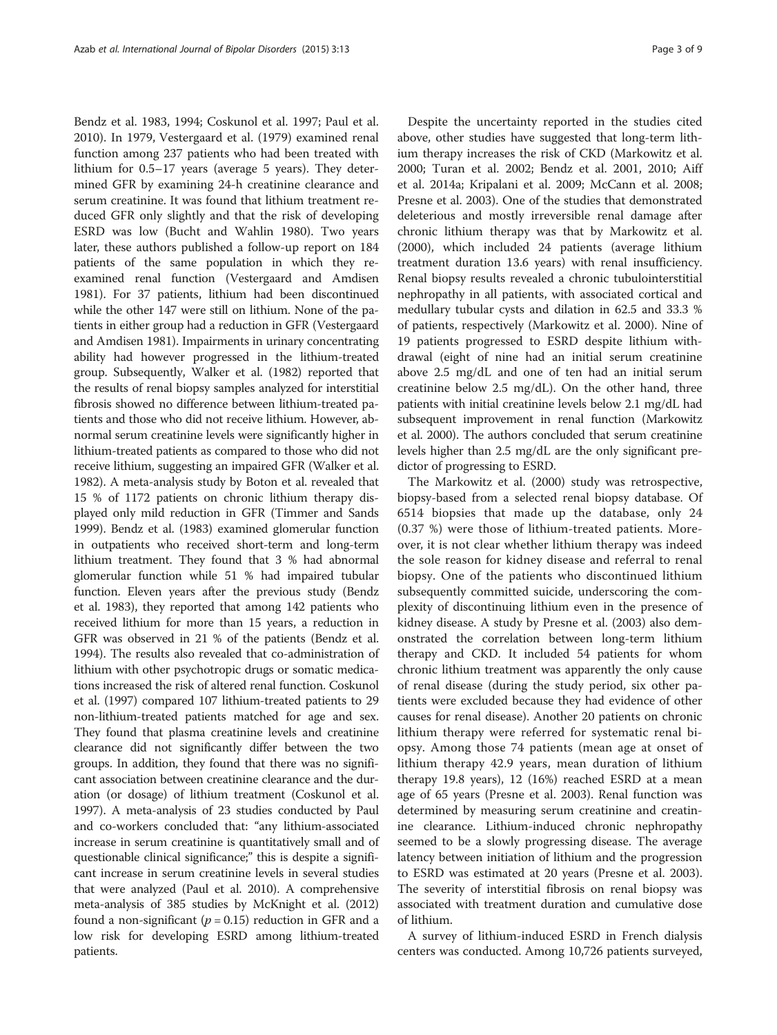Bendz et al. [1983](#page-8-0), [1994](#page-8-0); Coskunol et al. [1997;](#page-8-0) Paul et al. [2010](#page-8-0)). In 1979, Vestergaard et al. ([1979\)](#page-8-0) examined renal function among 237 patients who had been treated with lithium for 0.5–17 years (average 5 years). They determined GFR by examining 24-h creatinine clearance and serum creatinine. It was found that lithium treatment reduced GFR only slightly and that the risk of developing ESRD was low (Bucht and Wahlin [1980](#page-8-0)). Two years later, these authors published a follow-up report on 184 patients of the same population in which they reexamined renal function (Vestergaard and Amdisen [1981\)](#page-8-0). For 37 patients, lithium had been discontinued while the other 147 were still on lithium. None of the patients in either group had a reduction in GFR (Vestergaard and Amdisen [1981\)](#page-8-0). Impairments in urinary concentrating ability had however progressed in the lithium-treated group. Subsequently, Walker et al. [\(1982](#page-8-0)) reported that the results of renal biopsy samples analyzed for interstitial fibrosis showed no difference between lithium-treated patients and those who did not receive lithium. However, abnormal serum creatinine levels were significantly higher in lithium-treated patients as compared to those who did not receive lithium, suggesting an impaired GFR (Walker et al. [1982\)](#page-8-0). A meta-analysis study by Boton et al. revealed that 15 % of 1172 patients on chronic lithium therapy displayed only mild reduction in GFR (Timmer and Sands [1999\)](#page-8-0). Bendz et al. ([1983\)](#page-8-0) examined glomerular function in outpatients who received short-term and long-term lithium treatment. They found that 3 % had abnormal glomerular function while 51 % had impaired tubular function. Eleven years after the previous study (Bendz et al. [1983](#page-8-0)), they reported that among 142 patients who received lithium for more than 15 years, a reduction in GFR was observed in 21 % of the patients (Bendz et al. [1994\)](#page-8-0). The results also revealed that co-administration of lithium with other psychotropic drugs or somatic medications increased the risk of altered renal function. Coskunol et al. [\(1997](#page-8-0)) compared 107 lithium-treated patients to 29 non-lithium-treated patients matched for age and sex. They found that plasma creatinine levels and creatinine clearance did not significantly differ between the two groups. In addition, they found that there was no significant association between creatinine clearance and the duration (or dosage) of lithium treatment (Coskunol et al. [1997\)](#page-8-0). A meta-analysis of 23 studies conducted by Paul and co-workers concluded that: "any lithium-associated increase in serum creatinine is quantitatively small and of questionable clinical significance;" this is despite a significant increase in serum creatinine levels in several studies that were analyzed (Paul et al. [2010](#page-8-0)). A comprehensive meta-analysis of 385 studies by McKnight et al. [\(2012](#page-8-0)) found a non-significant ( $p = 0.15$ ) reduction in GFR and a low risk for developing ESRD among lithium-treated patients.

Despite the uncertainty reported in the studies cited above, other studies have suggested that long-term lithium therapy increases the risk of CKD (Markowitz et al. [2000](#page-8-0); Turan et al. [2002](#page-8-0); Bendz et al. [2001, 2010](#page-8-0); Aiff et al. [2014a;](#page-7-0) Kripalani et al. [2009](#page-8-0); McCann et al. [2008](#page-8-0); Presne et al. [2003\)](#page-8-0). One of the studies that demonstrated deleterious and mostly irreversible renal damage after chronic lithium therapy was that by Markowitz et al. ([2000\)](#page-8-0), which included 24 patients (average lithium treatment duration 13.6 years) with renal insufficiency. Renal biopsy results revealed a chronic tubulointerstitial nephropathy in all patients, with associated cortical and medullary tubular cysts and dilation in 62.5 and 33.3 % of patients, respectively (Markowitz et al. [2000\)](#page-8-0). Nine of 19 patients progressed to ESRD despite lithium withdrawal (eight of nine had an initial serum creatinine above 2.5 mg/dL and one of ten had an initial serum creatinine below 2.5 mg/dL). On the other hand, three patients with initial creatinine levels below 2.1 mg/dL had subsequent improvement in renal function (Markowitz et al. [2000\)](#page-8-0). The authors concluded that serum creatinine levels higher than 2.5 mg/dL are the only significant predictor of progressing to ESRD.

The Markowitz et al. ([2000](#page-8-0)) study was retrospective, biopsy-based from a selected renal biopsy database. Of 6514 biopsies that made up the database, only 24 (0.37 %) were those of lithium-treated patients. Moreover, it is not clear whether lithium therapy was indeed the sole reason for kidney disease and referral to renal biopsy. One of the patients who discontinued lithium subsequently committed suicide, underscoring the complexity of discontinuing lithium even in the presence of kidney disease. A study by Presne et al. [\(2003](#page-8-0)) also demonstrated the correlation between long-term lithium therapy and CKD. It included 54 patients for whom chronic lithium treatment was apparently the only cause of renal disease (during the study period, six other patients were excluded because they had evidence of other causes for renal disease). Another 20 patients on chronic lithium therapy were referred for systematic renal biopsy. Among those 74 patients (mean age at onset of lithium therapy 42.9 years, mean duration of lithium therapy 19.8 years), 12 (16%) reached ESRD at a mean age of 65 years (Presne et al. [2003\)](#page-8-0). Renal function was determined by measuring serum creatinine and creatinine clearance. Lithium-induced chronic nephropathy seemed to be a slowly progressing disease. The average latency between initiation of lithium and the progression to ESRD was estimated at 20 years (Presne et al. [2003](#page-8-0)). The severity of interstitial fibrosis on renal biopsy was associated with treatment duration and cumulative dose of lithium.

A survey of lithium-induced ESRD in French dialysis centers was conducted. Among 10,726 patients surveyed,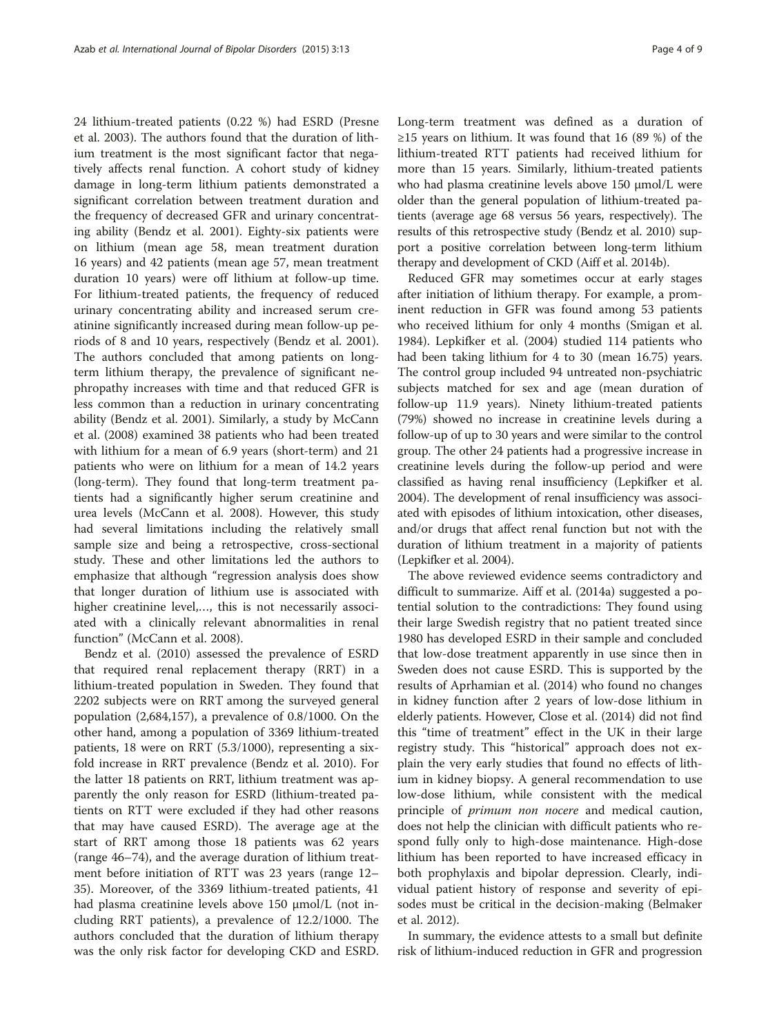24 lithium-treated patients (0.22 %) had ESRD (Presne et al. [2003](#page-8-0)). The authors found that the duration of lithium treatment is the most significant factor that negatively affects renal function. A cohort study of kidney damage in long-term lithium patients demonstrated a significant correlation between treatment duration and the frequency of decreased GFR and urinary concentrating ability (Bendz et al. [2001](#page-8-0)). Eighty-six patients were on lithium (mean age 58, mean treatment duration 16 years) and 42 patients (mean age 57, mean treatment duration 10 years) were off lithium at follow-up time. For lithium-treated patients, the frequency of reduced urinary concentrating ability and increased serum creatinine significantly increased during mean follow-up periods of 8 and 10 years, respectively (Bendz et al. [2001](#page-8-0)). The authors concluded that among patients on longterm lithium therapy, the prevalence of significant nephropathy increases with time and that reduced GFR is less common than a reduction in urinary concentrating ability (Bendz et al. [2001](#page-8-0)). Similarly, a study by McCann et al. [\(2008\)](#page-8-0) examined 38 patients who had been treated with lithium for a mean of 6.9 years (short-term) and 21 patients who were on lithium for a mean of 14.2 years (long-term). They found that long-term treatment patients had a significantly higher serum creatinine and urea levels (McCann et al. [2008\)](#page-8-0). However, this study had several limitations including the relatively small sample size and being a retrospective, cross-sectional study. These and other limitations led the authors to emphasize that although "regression analysis does show that longer duration of lithium use is associated with higher creatinine level,…, this is not necessarily associated with a clinically relevant abnormalities in renal function" (McCann et al. [2008](#page-8-0)).

Bendz et al. [\(2010\)](#page-8-0) assessed the prevalence of ESRD that required renal replacement therapy (RRT) in a lithium-treated population in Sweden. They found that 2202 subjects were on RRT among the surveyed general population (2,684,157), a prevalence of 0.8/1000. On the other hand, among a population of 3369 lithium-treated patients, 18 were on RRT (5.3/1000), representing a sixfold increase in RRT prevalence (Bendz et al. [2010\)](#page-8-0). For the latter 18 patients on RRT, lithium treatment was apparently the only reason for ESRD (lithium-treated patients on RTT were excluded if they had other reasons that may have caused ESRD). The average age at the start of RRT among those 18 patients was 62 years (range 46–74), and the average duration of lithium treatment before initiation of RTT was 23 years (range 12– 35). Moreover, of the 3369 lithium-treated patients, 41 had plasma creatinine levels above 150 μmol/L (not including RRT patients), a prevalence of 12.2/1000. The authors concluded that the duration of lithium therapy was the only risk factor for developing CKD and ESRD. Long-term treatment was defined as a duration of ≥15 years on lithium. It was found that 16 (89 %) of the lithium-treated RTT patients had received lithium for more than 15 years. Similarly, lithium-treated patients who had plasma creatinine levels above 150 μmol/L were older than the general population of lithium-treated patients (average age 68 versus 56 years, respectively). The results of this retrospective study (Bendz et al. [2010\)](#page-8-0) support a positive correlation between long-term lithium therapy and development of CKD (Aiff et al. [2014b](#page-7-0)).

Reduced GFR may sometimes occur at early stages after initiation of lithium therapy. For example, a prominent reduction in GFR was found among 53 patients who received lithium for only 4 months (Smigan et al. [1984](#page-8-0)). Lepkifker et al. ([2004\)](#page-8-0) studied 114 patients who had been taking lithium for 4 to 30 (mean 16.75) years. The control group included 94 untreated non-psychiatric subjects matched for sex and age (mean duration of follow-up 11.9 years). Ninety lithium-treated patients (79%) showed no increase in creatinine levels during a follow-up of up to 30 years and were similar to the control group. The other 24 patients had a progressive increase in creatinine levels during the follow-up period and were classified as having renal insufficiency (Lepkifker et al. [2004](#page-8-0)). The development of renal insufficiency was associated with episodes of lithium intoxication, other diseases, and/or drugs that affect renal function but not with the duration of lithium treatment in a majority of patients (Lepkifker et al. [2004\)](#page-8-0).

The above reviewed evidence seems contradictory and difficult to summarize. Aiff et al. ([2014a\)](#page-7-0) suggested a potential solution to the contradictions: They found using their large Swedish registry that no patient treated since 1980 has developed ESRD in their sample and concluded that low-dose treatment apparently in use since then in Sweden does not cause ESRD. This is supported by the results of Aprhamian et al. ([2014\)](#page-7-0) who found no changes in kidney function after 2 years of low-dose lithium in elderly patients. However, Close et al. [\(2014\)](#page-8-0) did not find this "time of treatment" effect in the UK in their large registry study. This "historical" approach does not explain the very early studies that found no effects of lithium in kidney biopsy. A general recommendation to use low-dose lithium, while consistent with the medical principle of *primum non nocere* and medical caution, does not help the clinician with difficult patients who respond fully only to high-dose maintenance. High-dose lithium has been reported to have increased efficacy in both prophylaxis and bipolar depression. Clearly, individual patient history of response and severity of episodes must be critical in the decision-making (Belmaker et al. [2012\)](#page-8-0).

In summary, the evidence attests to a small but definite risk of lithium-induced reduction in GFR and progression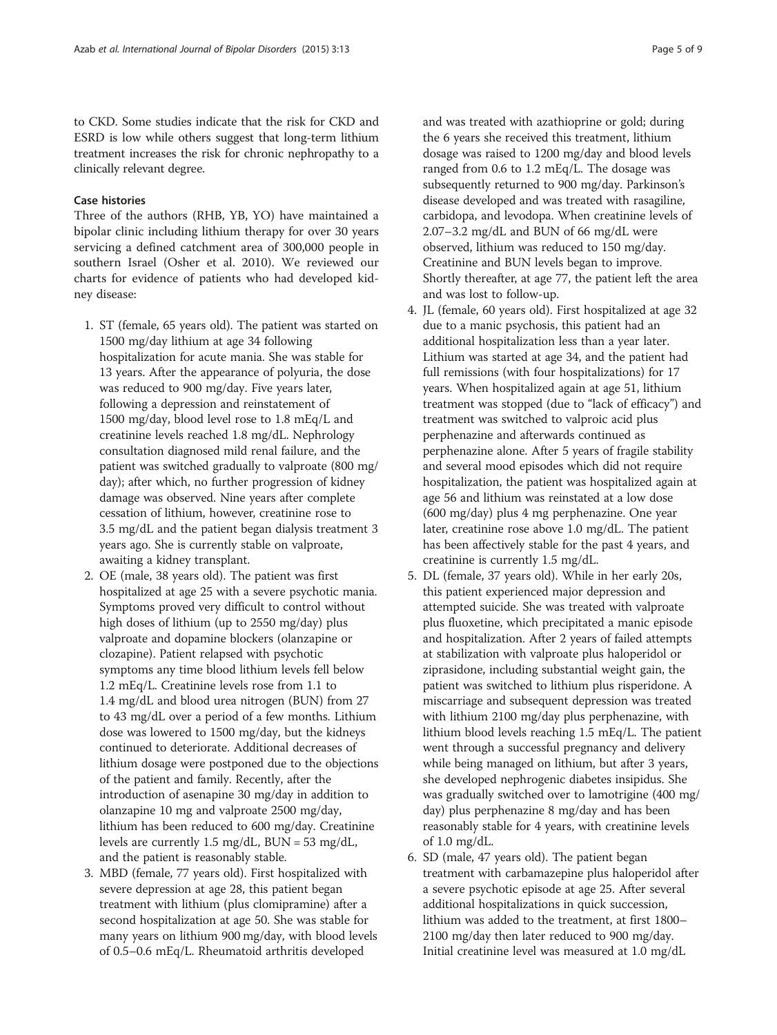to CKD. Some studies indicate that the risk for CKD and ESRD is low while others suggest that long-term lithium treatment increases the risk for chronic nephropathy to a clinically relevant degree.

#### Case histories

Three of the authors (RHB, YB, YO) have maintained a bipolar clinic including lithium therapy for over 30 years servicing a defined catchment area of 300,000 people in southern Israel (Osher et al. [2010](#page-8-0)). We reviewed our charts for evidence of patients who had developed kidney disease:

- 1. ST (female, 65 years old). The patient was started on 1500 mg/day lithium at age 34 following hospitalization for acute mania. She was stable for 13 years. After the appearance of polyuria, the dose was reduced to 900 mg/day. Five years later, following a depression and reinstatement of 1500 mg/day, blood level rose to 1.8 mEq/L and creatinine levels reached 1.8 mg/dL. Nephrology consultation diagnosed mild renal failure, and the patient was switched gradually to valproate (800 mg/ day); after which, no further progression of kidney damage was observed. Nine years after complete cessation of lithium, however, creatinine rose to 3.5 mg/dL and the patient began dialysis treatment 3 years ago. She is currently stable on valproate, awaiting a kidney transplant.
- 2. OE (male, 38 years old). The patient was first hospitalized at age 25 with a severe psychotic mania. Symptoms proved very difficult to control without high doses of lithium (up to 2550 mg/day) plus valproate and dopamine blockers (olanzapine or clozapine). Patient relapsed with psychotic symptoms any time blood lithium levels fell below 1.2 mEq/L. Creatinine levels rose from 1.1 to 1.4 mg/dL and blood urea nitrogen (BUN) from 27 to 43 mg/dL over a period of a few months. Lithium dose was lowered to 1500 mg/day, but the kidneys continued to deteriorate. Additional decreases of lithium dosage were postponed due to the objections of the patient and family. Recently, after the introduction of asenapine 30 mg/day in addition to olanzapine 10 mg and valproate 2500 mg/day, lithium has been reduced to 600 mg/day. Creatinine levels are currently 1.5 mg/dL, BUN = 53 mg/dL, and the patient is reasonably stable.
- 3. MBD (female, 77 years old). First hospitalized with severe depression at age 28, this patient began treatment with lithium (plus clomipramine) after a second hospitalization at age 50. She was stable for many years on lithium 900 mg/day, with blood levels of 0.5–0.6 mEq/L. Rheumatoid arthritis developed

and was treated with azathioprine or gold; during the 6 years she received this treatment, lithium dosage was raised to 1200 mg/day and blood levels ranged from 0.6 to 1.2 mEq/L. The dosage was subsequently returned to 900 mg/day. Parkinson's disease developed and was treated with rasagiline, carbidopa, and levodopa. When creatinine levels of 2.07–3.2 mg/dL and BUN of 66 mg/dL were observed, lithium was reduced to 150 mg/day. Creatinine and BUN levels began to improve. Shortly thereafter, at age 77, the patient left the area

4. JL (female, 60 years old). First hospitalized at age 32 due to a manic psychosis, this patient had an additional hospitalization less than a year later. Lithium was started at age 34, and the patient had full remissions (with four hospitalizations) for 17 years. When hospitalized again at age 51, lithium treatment was stopped (due to "lack of efficacy") and treatment was switched to valproic acid plus perphenazine and afterwards continued as perphenazine alone. After 5 years of fragile stability and several mood episodes which did not require hospitalization, the patient was hospitalized again at age 56 and lithium was reinstated at a low dose (600 mg/day) plus 4 mg perphenazine. One year later, creatinine rose above 1.0 mg/dL. The patient has been affectively stable for the past 4 years, and creatinine is currently 1.5 mg/dL.

and was lost to follow-up.

- 5. DL (female, 37 years old). While in her early 20s, this patient experienced major depression and attempted suicide. She was treated with valproate plus fluoxetine, which precipitated a manic episode and hospitalization. After 2 years of failed attempts at stabilization with valproate plus haloperidol or ziprasidone, including substantial weight gain, the patient was switched to lithium plus risperidone. A miscarriage and subsequent depression was treated with lithium 2100 mg/day plus perphenazine, with lithium blood levels reaching 1.5 mEq/L. The patient went through a successful pregnancy and delivery while being managed on lithium, but after 3 years, she developed nephrogenic diabetes insipidus. She was gradually switched over to lamotrigine (400 mg/ day) plus perphenazine 8 mg/day and has been reasonably stable for 4 years, with creatinine levels of 1.0 mg/dL.
- 6. SD (male, 47 years old). The patient began treatment with carbamazepine plus haloperidol after a severe psychotic episode at age 25. After several additional hospitalizations in quick succession, lithium was added to the treatment, at first 1800– 2100 mg/day then later reduced to 900 mg/day. Initial creatinine level was measured at 1.0 mg/dL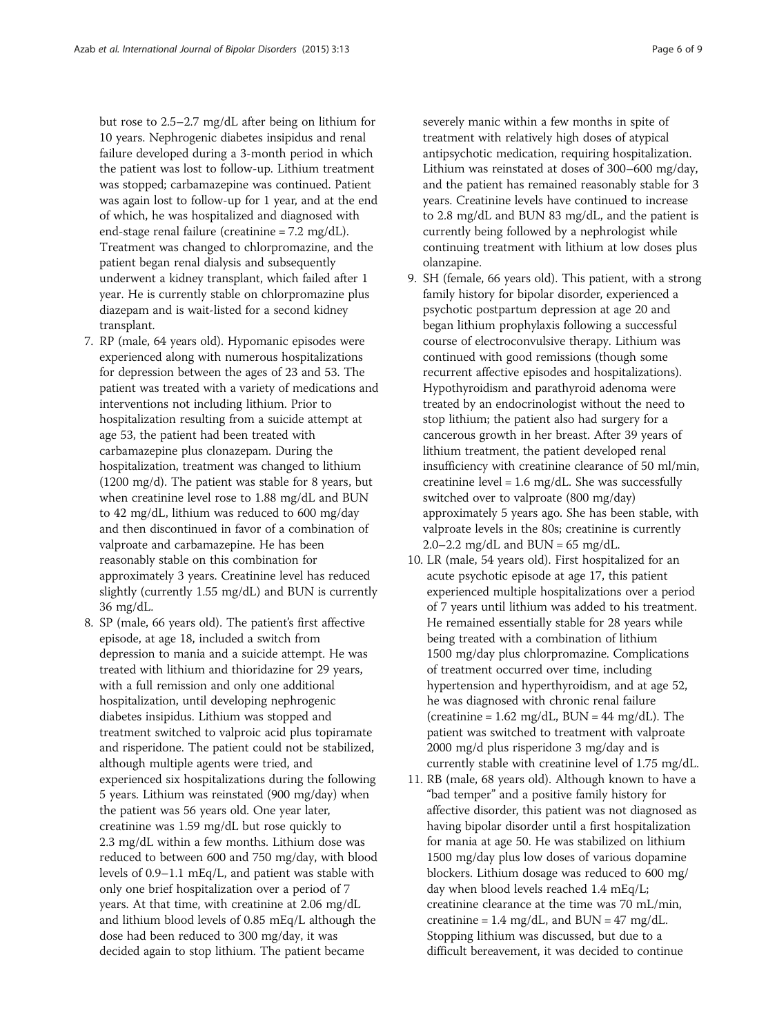but rose to 2.5–2.7 mg/dL after being on lithium for 10 years. Nephrogenic diabetes insipidus and renal failure developed during a 3-month period in which the patient was lost to follow-up. Lithium treatment was stopped; carbamazepine was continued. Patient was again lost to follow-up for 1 year, and at the end of which, he was hospitalized and diagnosed with end-stage renal failure (creatinine = 7.2 mg/dL). Treatment was changed to chlorpromazine, and the patient began renal dialysis and subsequently underwent a kidney transplant, which failed after 1 year. He is currently stable on chlorpromazine plus diazepam and is wait-listed for a second kidney transplant.

- 7. RP (male, 64 years old). Hypomanic episodes were experienced along with numerous hospitalizations for depression between the ages of 23 and 53. The patient was treated with a variety of medications and interventions not including lithium. Prior to hospitalization resulting from a suicide attempt at age 53, the patient had been treated with carbamazepine plus clonazepam. During the hospitalization, treatment was changed to lithium (1200 mg/d). The patient was stable for 8 years, but when creatinine level rose to 1.88 mg/dL and BUN to 42 mg/dL, lithium was reduced to 600 mg/day and then discontinued in favor of a combination of valproate and carbamazepine. He has been reasonably stable on this combination for approximately 3 years. Creatinine level has reduced slightly (currently 1.55 mg/dL) and BUN is currently 36 mg/dL.
- 8. SP (male, 66 years old). The patient's first affective episode, at age 18, included a switch from depression to mania and a suicide attempt. He was treated with lithium and thioridazine for 29 years, with a full remission and only one additional hospitalization, until developing nephrogenic diabetes insipidus. Lithium was stopped and treatment switched to valproic acid plus topiramate and risperidone. The patient could not be stabilized, although multiple agents were tried, and experienced six hospitalizations during the following 5 years. Lithium was reinstated (900 mg/day) when the patient was 56 years old. One year later, creatinine was 1.59 mg/dL but rose quickly to 2.3 mg/dL within a few months. Lithium dose was reduced to between 600 and 750 mg/day, with blood levels of 0.9–1.1 mEq/L, and patient was stable with only one brief hospitalization over a period of 7 years. At that time, with creatinine at 2.06 mg/dL and lithium blood levels of 0.85 mEq/L although the dose had been reduced to 300 mg/day, it was decided again to stop lithium. The patient became

severely manic within a few months in spite of treatment with relatively high doses of atypical antipsychotic medication, requiring hospitalization. Lithium was reinstated at doses of 300–600 mg/day, and the patient has remained reasonably stable for 3 years. Creatinine levels have continued to increase to 2.8 mg/dL and BUN 83 mg/dL, and the patient is currently being followed by a nephrologist while continuing treatment with lithium at low doses plus olanzapine.

- 9. SH (female, 66 years old). This patient, with a strong family history for bipolar disorder, experienced a psychotic postpartum depression at age 20 and began lithium prophylaxis following a successful course of electroconvulsive therapy. Lithium was continued with good remissions (though some recurrent affective episodes and hospitalizations). Hypothyroidism and parathyroid adenoma were treated by an endocrinologist without the need to stop lithium; the patient also had surgery for a cancerous growth in her breast. After 39 years of lithium treatment, the patient developed renal insufficiency with creatinine clearance of 50 ml/min, creatinine level =  $1.6 \text{ mg/dL}$ . She was successfully switched over to valproate (800 mg/day) approximately 5 years ago. She has been stable, with valproate levels in the 80s; creatinine is currently  $2.0 - 2.2$  mg/dL and BUN = 65 mg/dL.
- 10. LR (male, 54 years old). First hospitalized for an acute psychotic episode at age 17, this patient experienced multiple hospitalizations over a period of 7 years until lithium was added to his treatment. He remained essentially stable for 28 years while being treated with a combination of lithium 1500 mg/day plus chlorpromazine. Complications of treatment occurred over time, including hypertension and hyperthyroidism, and at age 52, he was diagnosed with chronic renal failure (creatinine =  $1.62 \text{ mg/dL}$ , BUN =  $44 \text{ mg/dL}$ ). The patient was switched to treatment with valproate 2000 mg/d plus risperidone 3 mg/day and is currently stable with creatinine level of 1.75 mg/dL.
- 11. RB (male, 68 years old). Although known to have a "bad temper" and a positive family history for affective disorder, this patient was not diagnosed as having bipolar disorder until a first hospitalization for mania at age 50. He was stabilized on lithium 1500 mg/day plus low doses of various dopamine blockers. Lithium dosage was reduced to 600 mg/ day when blood levels reached 1.4 mEq/L; creatinine clearance at the time was 70 mL/min, creatinine = 1.4 mg/dL, and  $BUN = 47$  mg/dL. Stopping lithium was discussed, but due to a difficult bereavement, it was decided to continue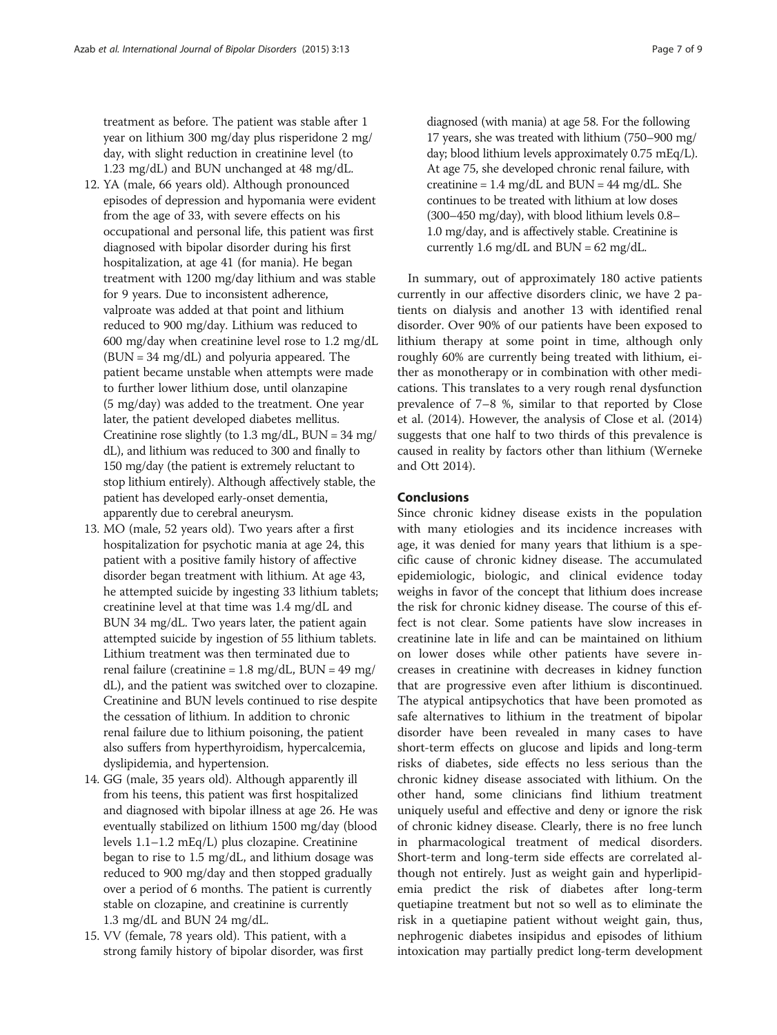treatment as before. The patient was stable after 1 year on lithium 300 mg/day plus risperidone 2 mg/ day, with slight reduction in creatinine level (to 1.23 mg/dL) and BUN unchanged at 48 mg/dL.

- 12. YA (male, 66 years old). Although pronounced episodes of depression and hypomania were evident from the age of 33, with severe effects on his occupational and personal life, this patient was first diagnosed with bipolar disorder during his first hospitalization, at age 41 (for mania). He began treatment with 1200 mg/day lithium and was stable for 9 years. Due to inconsistent adherence, valproate was added at that point and lithium reduced to 900 mg/day. Lithium was reduced to 600 mg/day when creatinine level rose to 1.2 mg/dL (BUN = 34 mg/dL) and polyuria appeared. The patient became unstable when attempts were made to further lower lithium dose, until olanzapine (5 mg/day) was added to the treatment. One year later, the patient developed diabetes mellitus. Creatinine rose slightly (to  $1.3 \text{ mg/dL}$ , BUN =  $34 \text{ mg}$ / dL), and lithium was reduced to 300 and finally to 150 mg/day (the patient is extremely reluctant to stop lithium entirely). Although affectively stable, the patient has developed early-onset dementia, apparently due to cerebral aneurysm.
- 13. MO (male, 52 years old). Two years after a first hospitalization for psychotic mania at age 24, this patient with a positive family history of affective disorder began treatment with lithium. At age 43, he attempted suicide by ingesting 33 lithium tablets; creatinine level at that time was 1.4 mg/dL and BUN 34 mg/dL. Two years later, the patient again attempted suicide by ingestion of 55 lithium tablets. Lithium treatment was then terminated due to renal failure (creatinine =  $1.8 \text{ mg/dL}$ , BUN =  $49 \text{ mg}$ ) dL), and the patient was switched over to clozapine. Creatinine and BUN levels continued to rise despite the cessation of lithium. In addition to chronic renal failure due to lithium poisoning, the patient also suffers from hyperthyroidism, hypercalcemia, dyslipidemia, and hypertension.
- 14. GG (male, 35 years old). Although apparently ill from his teens, this patient was first hospitalized and diagnosed with bipolar illness at age 26. He was eventually stabilized on lithium 1500 mg/day (blood levels 1.1–1.2 mEq/L) plus clozapine. Creatinine began to rise to 1.5 mg/dL, and lithium dosage was reduced to 900 mg/day and then stopped gradually over a period of 6 months. The patient is currently stable on clozapine, and creatinine is currently 1.3 mg/dL and BUN 24 mg/dL.
- 15. VV (female, 78 years old). This patient, with a strong family history of bipolar disorder, was first

diagnosed (with mania) at age 58. For the following 17 years, she was treated with lithium (750–900 mg/ day; blood lithium levels approximately 0.75 mEq/L). At age 75, she developed chronic renal failure, with creatinine =  $1.4 \text{ mg/dL}$  and BUN =  $44 \text{ mg/dL}$ . She continues to be treated with lithium at low doses (300–450 mg/day), with blood lithium levels 0.8– 1.0 mg/day, and is affectively stable. Creatinine is currently 1.6 mg/dL and  $BUN = 62$  mg/dL.

In summary, out of approximately 180 active patients currently in our affective disorders clinic, we have 2 patients on dialysis and another 13 with identified renal disorder. Over 90% of our patients have been exposed to lithium therapy at some point in time, although only roughly 60% are currently being treated with lithium, either as monotherapy or in combination with other medications. This translates to a very rough renal dysfunction prevalence of 7–8 %, similar to that reported by Close et al. [\(2014\)](#page-8-0). However, the analysis of Close et al. ([2014](#page-8-0)) suggests that one half to two thirds of this prevalence is caused in reality by factors other than lithium (Werneke and Ott [2014](#page-8-0)).

#### Conclusions

Since chronic kidney disease exists in the population with many etiologies and its incidence increases with age, it was denied for many years that lithium is a specific cause of chronic kidney disease. The accumulated epidemiologic, biologic, and clinical evidence today weighs in favor of the concept that lithium does increase the risk for chronic kidney disease. The course of this effect is not clear. Some patients have slow increases in creatinine late in life and can be maintained on lithium on lower doses while other patients have severe increases in creatinine with decreases in kidney function that are progressive even after lithium is discontinued. The atypical antipsychotics that have been promoted as safe alternatives to lithium in the treatment of bipolar disorder have been revealed in many cases to have short-term effects on glucose and lipids and long-term risks of diabetes, side effects no less serious than the chronic kidney disease associated with lithium. On the other hand, some clinicians find lithium treatment uniquely useful and effective and deny or ignore the risk of chronic kidney disease. Clearly, there is no free lunch in pharmacological treatment of medical disorders. Short-term and long-term side effects are correlated although not entirely. Just as weight gain and hyperlipidemia predict the risk of diabetes after long-term quetiapine treatment but not so well as to eliminate the risk in a quetiapine patient without weight gain, thus, nephrogenic diabetes insipidus and episodes of lithium intoxication may partially predict long-term development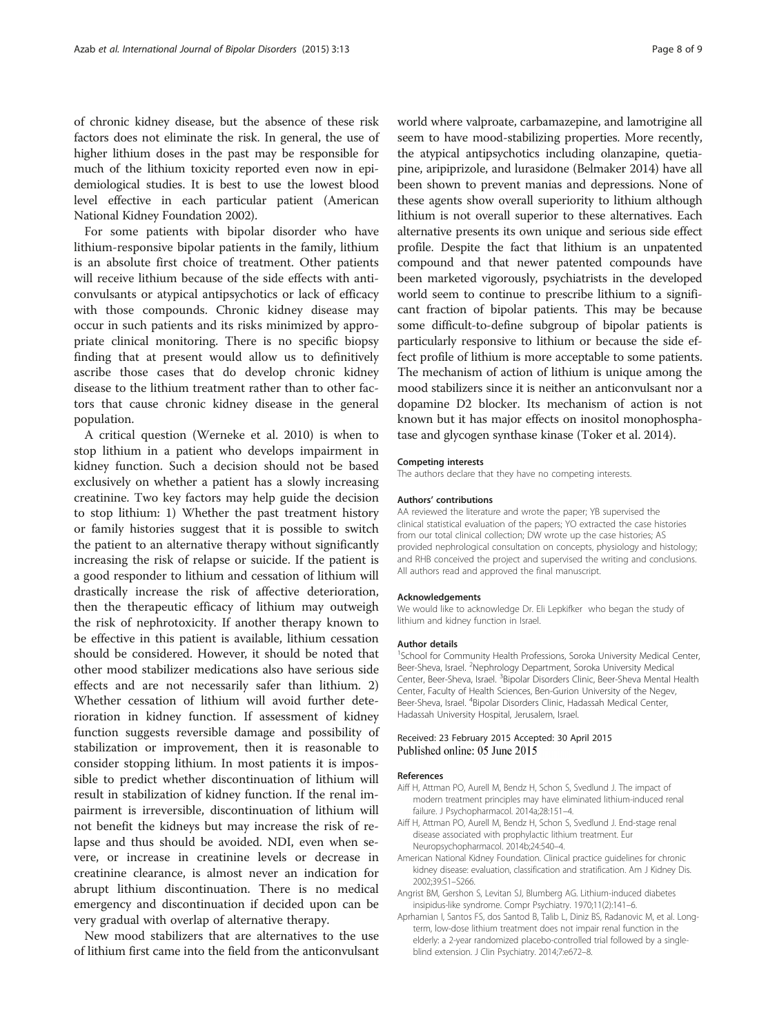<span id="page-7-0"></span>of chronic kidney disease, but the absence of these risk factors does not eliminate the risk. In general, the use of higher lithium doses in the past may be responsible for much of the lithium toxicity reported even now in epidemiological studies. It is best to use the lowest blood level effective in each particular patient (American National Kidney Foundation 2002).

For some patients with bipolar disorder who have lithium-responsive bipolar patients in the family, lithium is an absolute first choice of treatment. Other patients will receive lithium because of the side effects with anticonvulsants or atypical antipsychotics or lack of efficacy with those compounds. Chronic kidney disease may occur in such patients and its risks minimized by appropriate clinical monitoring. There is no specific biopsy finding that at present would allow us to definitively ascribe those cases that do develop chronic kidney disease to the lithium treatment rather than to other factors that cause chronic kidney disease in the general population.

A critical question (Werneke et al. [2010](#page-8-0)) is when to stop lithium in a patient who develops impairment in kidney function. Such a decision should not be based exclusively on whether a patient has a slowly increasing creatinine. Two key factors may help guide the decision to stop lithium: 1) Whether the past treatment history or family histories suggest that it is possible to switch the patient to an alternative therapy without significantly increasing the risk of relapse or suicide. If the patient is a good responder to lithium and cessation of lithium will drastically increase the risk of affective deterioration, then the therapeutic efficacy of lithium may outweigh the risk of nephrotoxicity. If another therapy known to be effective in this patient is available, lithium cessation should be considered. However, it should be noted that other mood stabilizer medications also have serious side effects and are not necessarily safer than lithium. 2) Whether cessation of lithium will avoid further deterioration in kidney function. If assessment of kidney function suggests reversible damage and possibility of stabilization or improvement, then it is reasonable to consider stopping lithium. In most patients it is impossible to predict whether discontinuation of lithium will result in stabilization of kidney function. If the renal impairment is irreversible, discontinuation of lithium will not benefit the kidneys but may increase the risk of relapse and thus should be avoided. NDI, even when severe, or increase in creatinine levels or decrease in creatinine clearance, is almost never an indication for abrupt lithium discontinuation. There is no medical emergency and discontinuation if decided upon can be very gradual with overlap of alternative therapy.

New mood stabilizers that are alternatives to the use of lithium first came into the field from the anticonvulsant world where valproate, carbamazepine, and lamotrigine all seem to have mood-stabilizing properties. More recently, the atypical antipsychotics including olanzapine, quetiapine, aripiprizole, and lurasidone (Belmaker [2014](#page-8-0)) have all been shown to prevent manias and depressions. None of these agents show overall superiority to lithium although lithium is not overall superior to these alternatives. Each alternative presents its own unique and serious side effect profile. Despite the fact that lithium is an unpatented compound and that newer patented compounds have been marketed vigorously, psychiatrists in the developed world seem to continue to prescribe lithium to a significant fraction of bipolar patients. This may be because some difficult-to-define subgroup of bipolar patients is particularly responsive to lithium or because the side effect profile of lithium is more acceptable to some patients. The mechanism of action of lithium is unique among the mood stabilizers since it is neither an anticonvulsant nor a dopamine D2 blocker. Its mechanism of action is not known but it has major effects on inositol monophosphatase and glycogen synthase kinase (Toker et al. [2014](#page-8-0)).

#### Competing interests

The authors declare that they have no competing interests.

#### Authors' contributions

AA reviewed the literature and wrote the paper; YB supervised the clinical statistical evaluation of the papers; YO extracted the case histories from our total clinical collection; DW wrote up the case histories; AS provided nephrological consultation on concepts, physiology and histology; and RHB conceived the project and supervised the writing and conclusions. All authors read and approved the final manuscript.

#### Acknowledgements

We would like to acknowledge Dr. Eli Lepkifker who began the study of lithium and kidney function in Israel.

#### Author details

<sup>1</sup>School for Community Health Professions, Soroka University Medical Center, Beer-Sheva, Israel. <sup>2</sup>Nephrology Department, Soroka University Medical Center, Beer-Sheva, Israel. <sup>3</sup> Bipolar Disorders Clinic, Beer-Sheva Mental Health Center, Faculty of Health Sciences, Ben-Gurion University of the Negev, Beer-Sheva, Israel. <sup>4</sup> Bipolar Disorders Clinic, Hadassah Medical Center Hadassah University Hospital, Jerusalem, Israel.

#### Received: 23 February 2015 Accepted: 30 April 2015 Published online: 05 June 2015

#### References

- Aiff H, Attman PO, Aurell M, Bendz H, Schon S, Svedlund J. The impact of modern treatment principles may have eliminated lithium-induced renal failure. J Psychopharmacol. 2014a;28:151–4.
- Aiff H, Attman PO, Aurell M, Bendz H, Schon S, Svedlund J. End-stage renal disease associated with prophylactic lithium treatment. Eur Neuropsychopharmacol. 2014b;24:540–4.
- American National Kidney Foundation. Clinical practice guidelines for chronic kidney disease: evaluation, classification and stratification. Am J Kidney Dis. 2002;39:S1–S266.
- Angrist BM, Gershon S, Levitan SJ, Blumberg AG. Lithium-induced diabetes insipidus-like syndrome. Compr Psychiatry. 1970;11(2):141–6.
- Aprhamian I, Santos FS, dos Santod B, Talib L, Diniz BS, Radanovic M, et al. Longterm, low-dose lithium treatment does not impair renal function in the elderly: a 2-year randomized placebo-controlled trial followed by a singleblind extension. J Clin Psychiatry. 2014;7:e672–8.